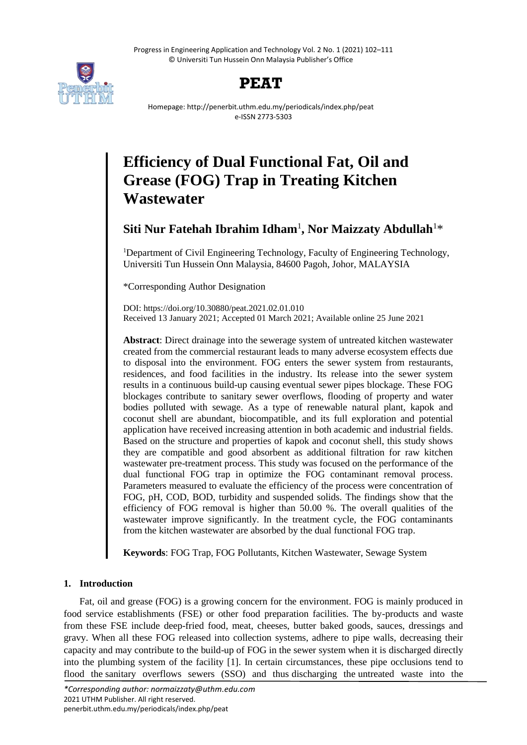Progress in Engineering Application and Technology Vol. 2 No. 1 (2021) 102–111 © Universiti Tun Hussein Onn Malaysia Publisher's Office





Homepage: http://penerbit.uthm.edu.my/periodicals/index.php/peat e-ISSN 2773-5303

# **Efficiency of Dual Functional Fat, Oil and Grease (FOG) Trap in Treating Kitchen Wastewater**

**Siti Nur Fatehah Ibrahim Idham**<sup>1</sup> **, Nor Maizzaty Abdullah**<sup>1</sup>\*

<sup>1</sup>Department of Civil Engineering Technology, Faculty of Engineering Technology, Universiti Tun Hussein Onn Malaysia, 84600 Pagoh, Johor, MALAYSIA

\*Corresponding Author Designation

DOI: https://doi.org/10.30880/peat.2021.02.01.010 Received 13 January 2021; Accepted 01 March 2021; Available online 25 June 2021

**Abstract**: Direct drainage into the sewerage system of untreated kitchen wastewater created from the commercial restaurant leads to many adverse ecosystem effects due to disposal into the environment. FOG enters the sewer system from restaurants, residences, and food facilities in the industry. Its release into the sewer system results in a continuous build-up causing eventual sewer pipes blockage. These FOG blockages contribute to sanitary sewer overflows, flooding of property and water bodies polluted with sewage. As a type of renewable natural plant, kapok and coconut shell are abundant, biocompatible, and its full exploration and potential application have received increasing attention in both academic and industrial fields. Based on the structure and properties of kapok and coconut shell, this study shows they are compatible and good absorbent as additional filtration for raw kitchen wastewater pre-treatment process. This study was focused on the performance of the dual functional FOG trap in optimize the FOG contaminant removal process. Parameters measured to evaluate the efficiency of the process were concentration of FOG, pH, COD, BOD, turbidity and suspended solids. The findings show that the efficiency of FOG removal is higher than 50.00 %. The overall qualities of the wastewater improve significantly. In the treatment cycle, the FOG contaminants from the kitchen wastewater are absorbed by the dual functional FOG trap.

**Keywords**: FOG Trap, FOG Pollutants, Kitchen Wastewater, Sewage System

# **1. Introduction**

Fat, oil and grease (FOG) is a growing concern for the environment. FOG is mainly produced in food service establishments (FSE) or other food preparation facilities. The by-products and waste from these FSE include deep-fried food, meat, cheeses, butter baked goods, sauces, dressings and gravy. When all these FOG released into collection systems, adhere to pipe walls, decreasing their capacity and may contribute to the build-up of FOG in the sewer system when it is discharged directly into the plumbing system of the facility [1]. In certain circumstances, these pipe occlusions tend to flood the sanitary overflows sewers (SSO) and thus discharging the untreated waste into the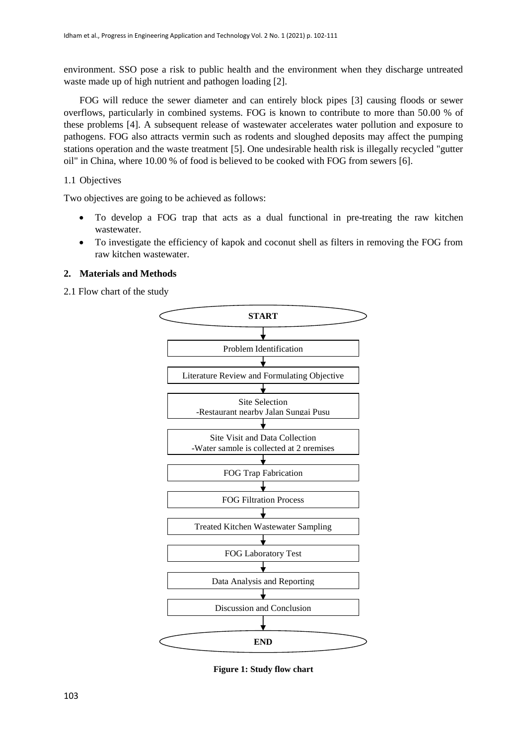environment. SSO pose a risk to public health and the environment when they discharge untreated waste made up of high nutrient and pathogen loading [2].

FOG will reduce the sewer diameter and can entirely block pipes [3] causing floods or sewer overflows, particularly in combined systems. FOG is known to contribute to more than 50.00 % of these problems [4]. A subsequent release of wastewater accelerates water pollution and exposure to pathogens. FOG also attracts vermin such as rodents and sloughed deposits may affect the pumping stations operation and the waste treatment [5]. One undesirable health risk is illegally recycled "gutter oil" in China, where 10.00 % of food is believed to be cooked with FOG from sewers [6].

# 1.1 Objectives

Two objectives are going to be achieved as follows:

- To develop a FOG trap that acts as a dual functional in pre-treating the raw kitchen wastewater.
- To investigate the efficiency of kapok and coconut shell as filters in removing the FOG from raw kitchen wastewater.

# **2. Materials and Methods**

2.1 Flow chart of the study



**Figure 1: Study flow chart**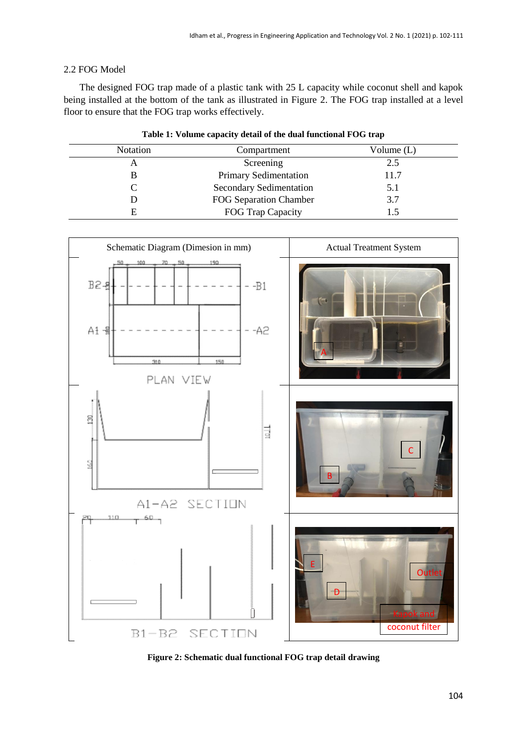# 2.2 FOG Model

The designed FOG trap made of a plastic tank with 25 L capacity while coconut shell and kapok being installed at the bottom of the tank as illustrated in Figure 2. The FOG trap installed at a level floor to ensure that the FOG trap works effectively.

| <b>Notation</b> | Compartment                    | Volume $(L)$ |
|-----------------|--------------------------------|--------------|
| A               | Screening                      | 2.5          |
|                 | Primary Sedimentation          | 11.7         |
|                 | <b>Secondary Sedimentation</b> | 5.1          |
|                 | FOG Separation Chamber         | 3.7          |
| E               | FOG Trap Capacity              | L.5          |



**Figure 2: Schematic dual functional FOG trap detail drawing**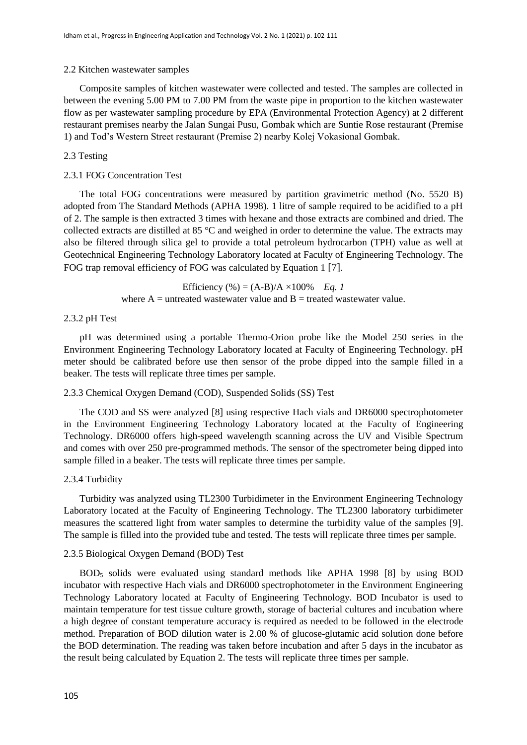## 2.2 Kitchen wastewater samples

Composite samples of kitchen wastewater were collected and tested. The samples are collected in between the evening 5.00 PM to 7.00 PM from the waste pipe in proportion to the kitchen wastewater flow as per wastewater sampling procedure by EPA (Environmental Protection Agency) at 2 different restaurant premises nearby the Jalan Sungai Pusu, Gombak which are Suntie Rose restaurant (Premise 1) and Tod's Western Street restaurant (Premise 2) nearby Kolej Vokasional Gombak.

## 2.3 Testing

#### 2.3.1 FOG Concentration Test

The total FOG concentrations were measured by partition gravimetric method (No. 5520 B) adopted from The Standard Methods (APHA 1998). 1 litre of sample required to be acidified to a pH of 2. The sample is then extracted 3 times with hexane and those extracts are combined and dried. The collected extracts are distilled at 85 °C and weighed in order to determine the value. The extracts may also be filtered through silica gel to provide a total petroleum hydrocarbon (TPH) value as well at Geotechnical Engineering Technology Laboratory located at Faculty of Engineering Technology. The FOG trap removal efficiency of FOG was calculated by Equation 1 [7].

> Efficiency  $% = (A-B)/A \times 100\%$  *Eq. 1* where  $A =$  untreated wastewater value and  $B =$  treated wastewater value.

## 2.3.2 pH Test

pH was determined using a portable Thermo-Orion probe like the Model 250 series in the Environment Engineering Technology Laboratory located at Faculty of Engineering Technology. pH meter should be calibrated before use then sensor of the probe dipped into the sample filled in a beaker. The tests will replicate three times per sample.

## 2.3.3 Chemical Oxygen Demand (COD), Suspended Solids (SS) Test

The COD and SS were analyzed [8] using respective Hach vials and DR6000 spectrophotometer in the Environment Engineering Technology Laboratory located at the Faculty of Engineering Technology. DR6000 offers high-speed wavelength scanning across the UV and Visible Spectrum and comes with over 250 pre-programmed methods. The sensor of the spectrometer being dipped into sample filled in a beaker. The tests will replicate three times per sample.

#### 2.3.4 Turbidity

Turbidity was analyzed using TL2300 Turbidimeter in the Environment Engineering Technology Laboratory located at the Faculty of Engineering Technology. The TL2300 laboratory turbidimeter measures the scattered light from water samples to determine the turbidity value of the samples [9]. The sample is filled into the provided tube and tested. The tests will replicate three times per sample.

#### 2.3.5 Biological Oxygen Demand (BOD) Test

BOD<sup>5</sup> solids were evaluated using standard methods like APHA 1998 [8] by using BOD incubator with respective Hach vials and DR6000 spectrophotometer in the Environment Engineering Technology Laboratory located at Faculty of Engineering Technology. BOD Incubator is used to maintain temperature for test tissue culture growth, storage of bacterial cultures and incubation where a high degree of constant temperature accuracy is required as needed to be followed in the electrode method. Preparation of BOD dilution water is 2.00 % of glucose-glutamic acid solution done before the BOD determination. The reading was taken before incubation and after 5 days in the incubator as the result being calculated by Equation 2. The tests will replicate three times per sample.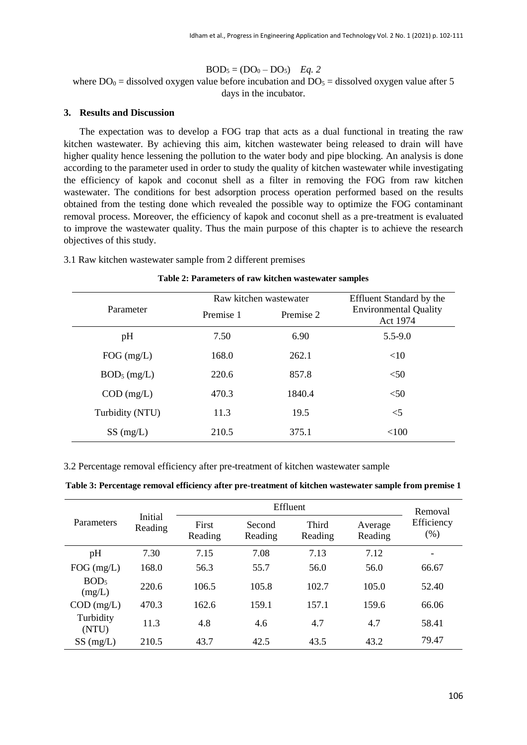$BOD_5 = (DO_0 - DO_5)$  *Eq. 2* 

where  $DO_0 =$  dissolved oxygen value before incubation and  $DO_5 =$  dissolved oxygen value after 5 days in the incubator.

## **3. Results and Discussion**

The expectation was to develop a FOG trap that acts as a dual functional in treating the raw kitchen wastewater. By achieving this aim, kitchen wastewater being released to drain will have higher quality hence lessening the pollution to the water body and pipe blocking. An analysis is done according to the parameter used in order to study the quality of kitchen wastewater while investigating the efficiency of kapok and coconut shell as a filter in removing the FOG from raw kitchen wastewater. The conditions for best adsorption process operation performed based on the results obtained from the testing done which revealed the possible way to optimize the FOG contaminant removal process. Moreover, the efficiency of kapok and coconut shell as a pre-treatment is evaluated to improve the wastewater quality. Thus the main purpose of this chapter is to achieve the research objectives of this study.

## 3.1 Raw kitchen wastewater sample from 2 different premises

#### **Table 2: Parameters of raw kitchen wastewater samples**

| Parameter               |           | Raw kitchen wastewater | Effluent Standard by the<br><b>Environmental Quality</b><br>Act 1974 |  |
|-------------------------|-----------|------------------------|----------------------------------------------------------------------|--|
|                         | Premise 1 | Premise 2              |                                                                      |  |
| pH                      | 7.50      | 6.90                   | $5.5 - 9.0$                                                          |  |
| $FOG$ (mg/L)            | 168.0     | 262.1                  | <10                                                                  |  |
| BOD <sub>5</sub> (mg/L) | 220.6     | 857.8                  | < 50                                                                 |  |
| $COD$ (mg/L)            | 470.3     | 1840.4                 | < 50                                                                 |  |
| Turbidity (NTU)         | 11.3      | 19.5                   | $<$ 5                                                                |  |
| $SS \, (mg/L)$          | 210.5     | 375.1                  | < 100                                                                |  |

3.2 Percentage removal efficiency after pre-treatment of kitchen wastewater sample

#### **Table 3: Percentage removal efficiency after pre-treatment of kitchen wastewater sample from premise 1**

| Parameters                 | Initial<br>Reading | Effluent         |                   |                  |                    | Removal            |
|----------------------------|--------------------|------------------|-------------------|------------------|--------------------|--------------------|
|                            |                    | First<br>Reading | Second<br>Reading | Third<br>Reading | Average<br>Reading | Efficiency<br>(% ) |
| pH                         | 7.30               | 7.15             | 7.08              | 7.13             | 7.12               | -                  |
| $FOG$ (mg/L)               | 168.0              | 56.3             | 55.7              | 56.0             | 56.0               | 66.67              |
| BOD <sub>5</sub><br>(mg/L) | 220.6              | 106.5            | 105.8             | 102.7            | 105.0              | 52.40              |
| $COD$ (mg/L)               | 470.3              | 162.6            | 159.1             | 157.1            | 159.6              | 66.06              |
| Turbidity<br>(NTU)         | 11.3               | 4.8              | 4.6               | 4.7              | 4.7                | 58.41              |
| $SS \, (mg/L)$             | 210.5              | 43.7             | 42.5              | 43.5             | 43.2               | 79.47              |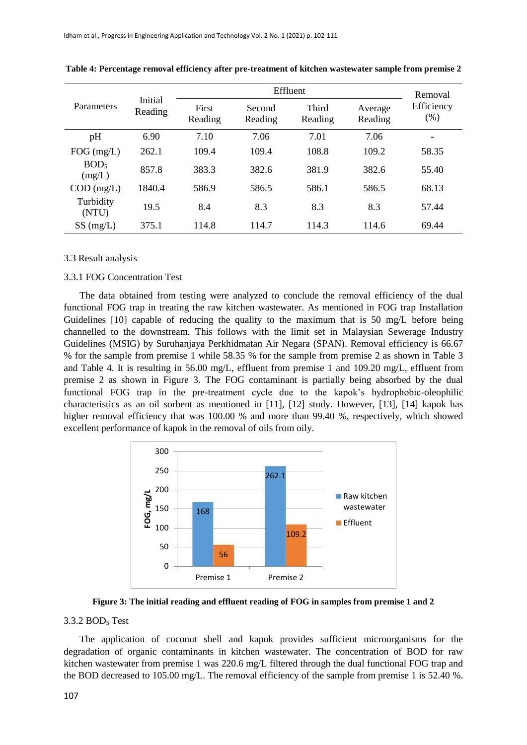| Parameters                 | Initial<br>Reading | Effluent         |                   |                  |                    | Removal            |
|----------------------------|--------------------|------------------|-------------------|------------------|--------------------|--------------------|
|                            |                    | First<br>Reading | Second<br>Reading | Third<br>Reading | Average<br>Reading | Efficiency<br>(% ) |
| pH                         | 6.90               | 7.10             | 7.06              | 7.01             | 7.06               |                    |
| $FOG$ (mg/L)               | 262.1              | 109.4            | 109.4             | 108.8            | 109.2              | 58.35              |
| BOD <sub>5</sub><br>(mg/L) | 857.8              | 383.3            | 382.6             | 381.9            | 382.6              | 55.40              |
| $COD$ (mg/L)               | 1840.4             | 586.9            | 586.5             | 586.1            | 586.5              | 68.13              |
| Turbidity<br>(NTU)         | 19.5               | 8.4              | 8.3               | 8.3              | 8.3                | 57.44              |
| $SS \, (mg/L)$             | 375.1              | 114.8            | 114.7             | 114.3            | 114.6              | 69.44              |

**Table 4: Percentage removal efficiency after pre-treatment of kitchen wastewater sample from premise 2**

#### 3.3 Result analysis

#### 3.3.1 FOG Concentration Test

The data obtained from testing were analyzed to conclude the removal efficiency of the dual functional FOG trap in treating the raw kitchen wastewater. As mentioned in FOG trap Installation Guidelines [10] capable of reducing the quality to the maximum that is 50 mg/L before being channelled to the downstream. This follows with the limit set in Malaysian Sewerage Industry Guidelines (MSIG) by Suruhanjaya Perkhidmatan Air Negara (SPAN). Removal efficiency is 66.67 % for the sample from premise 1 while 58.35 % for the sample from premise 2 as shown in Table 3 and Table 4. It is resulting in 56.00 mg/L, effluent from premise 1 and 109.20 mg/L, effluent from premise 2 as shown in Figure 3. The FOG contaminant is partially being absorbed by the dual functional FOG trap in the pre-treatment cycle due to the kapok's hydrophobic-oleophilic characteristics as an oil sorbent as mentioned in [11], [12] study. However, [13], [14] kapok has higher removal efficiency that was 100.00 % and more than 99.40 %, respectively, which showed excellent performance of kapok in the removal of oils from oily.



**Figure 3: The initial reading and effluent reading of FOG in samples from premise 1 and 2**

#### 3.3.2 BOD<sub>5</sub> Test

The application of coconut shell and kapok provides sufficient microorganisms for the degradation of organic contaminants in kitchen wastewater. The concentration of BOD for raw kitchen wastewater from premise 1 was 220.6 mg/L filtered through the dual functional FOG trap and the BOD decreased to 105.00 mg/L. The removal efficiency of the sample from premise 1 is 52.40 %.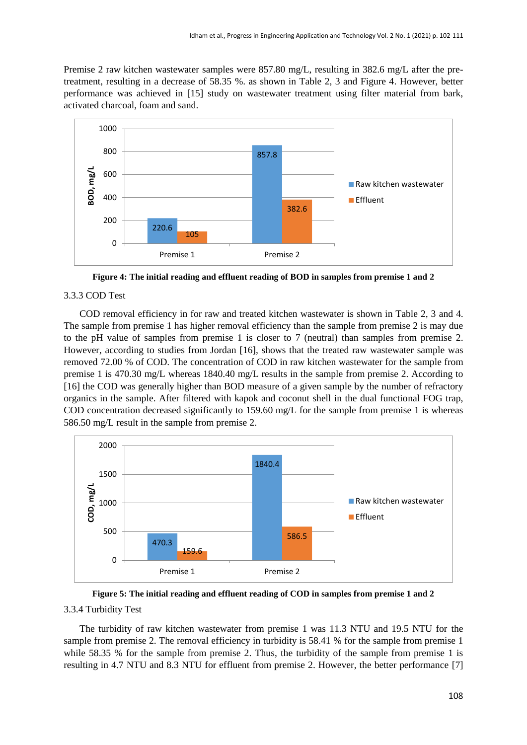Premise 2 raw kitchen wastewater samples were 857.80 mg/L, resulting in 382.6 mg/L after the pretreatment, resulting in a decrease of 58.35 %. as shown in Table 2, 3 and Figure 4. However, better performance was achieved in [15] study on wastewater treatment using filter material from bark, activated charcoal, foam and sand.



**Figure 4: The initial reading and effluent reading of BOD in samples from premise 1 and 2**

# 3.3.3 COD Test

COD removal efficiency in for raw and treated kitchen wastewater is shown in Table 2, 3 and 4. The sample from premise 1 has higher removal efficiency than the sample from premise 2 is may due to the pH value of samples from premise 1 is closer to 7 (neutral) than samples from premise 2. However, according to studies from Jordan [16], shows that the treated raw wastewater sample was removed 72.00 % of COD. The concentration of COD in raw kitchen wastewater for the sample from premise 1 is 470.30 mg/L whereas 1840.40 mg/L results in the sample from premise 2. According to [16] the COD was generally higher than BOD measure of a given sample by the number of refractory organics in the sample. After filtered with kapok and coconut shell in the dual functional FOG trap, COD concentration decreased significantly to 159.60 mg/L for the sample from premise 1 is whereas 586.50 mg/L result in the sample from premise 2.



**Figure 5: The initial reading and effluent reading of COD in samples from premise 1 and 2**

# 3.3.4 Turbidity Test

The turbidity of raw kitchen wastewater from premise 1 was 11.3 NTU and 19.5 NTU for the sample from premise 2. The removal efficiency in turbidity is 58.41 % for the sample from premise 1 while 58.35 % for the sample from premise 2. Thus, the turbidity of the sample from premise 1 is resulting in 4.7 NTU and 8.3 NTU for effluent from premise 2. However, the better performance [7]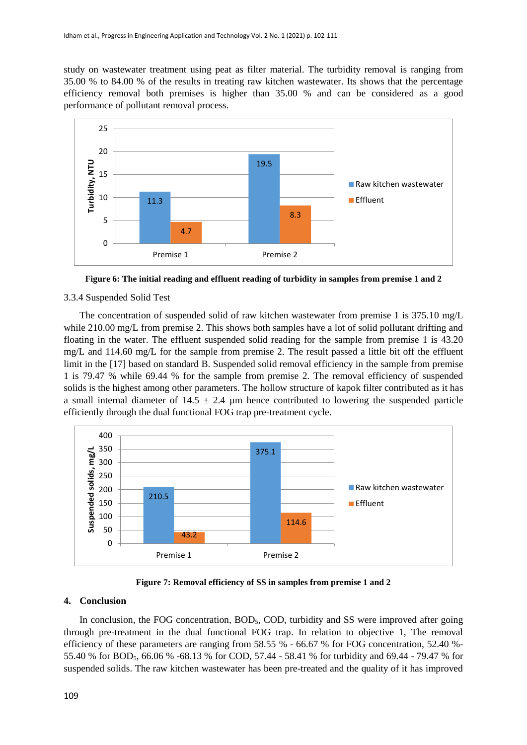study on wastewater treatment using peat as filter material. The turbidity removal is ranging from 35.00 % to 84.00 % of the results in treating raw kitchen wastewater. Its shows that the percentage efficiency removal both premises is higher than 35.00 % and can be considered as a good performance of pollutant removal process.



**Figure 6: The initial reading and effluent reading of turbidity in samples from premise 1 and 2**

# 3.3.4 Suspended Solid Test

The concentration of suspended solid of raw kitchen wastewater from premise 1 is 375.10 mg/L while 210.00 mg/L from premise 2. This shows both samples have a lot of solid pollutant drifting and floating in the water. The effluent suspended solid reading for the sample from premise 1 is 43.20 mg/L and 114.60 mg/L for the sample from premise 2. The result passed a little bit off the effluent limit in the [17] based on standard B. Suspended solid removal efficiency in the sample from premise 1 is 79.47 % while 69.44 % for the sample from premise 2. The removal efficiency of suspended solids is the highest among other parameters. The hollow structure of kapok filter contributed as it has a small internal diameter of  $14.5 \pm 2.4$  µm hence contributed to lowering the suspended particle efficiently through the dual functional FOG trap pre-treatment cycle.



**Figure 7: Removal efficiency of SS in samples from premise 1 and 2**

#### **4. Conclusion**

In conclusion, the FOG concentration, BOD<sub>5</sub>, COD, turbidity and SS were improved after going through pre-treatment in the dual functional FOG trap. In relation to objective 1, The removal efficiency of these parameters are ranging from 58.55 % - 66.67 % for FOG concentration, 52.40 %- 55.40 % for BOD5, 66.06 % -68.13 % for COD, 57.44 - 58.41 % for turbidity and 69.44 - 79.47 % for suspended solids. The raw kitchen wastewater has been pre-treated and the quality of it has improved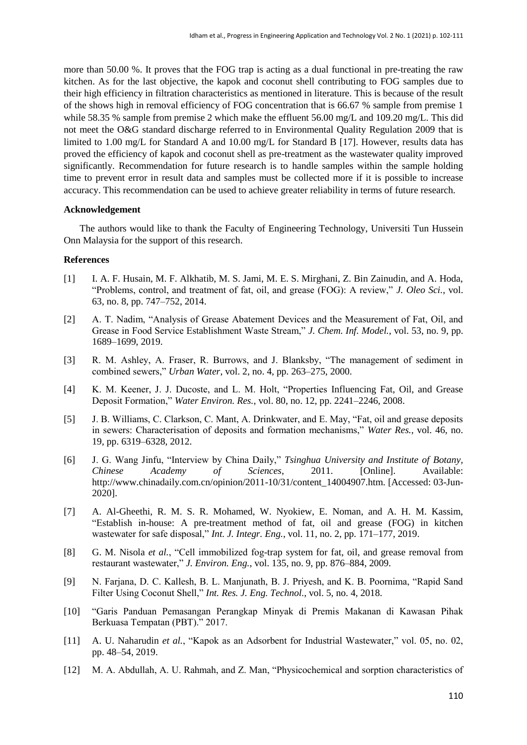more than 50.00 %. It proves that the FOG trap is acting as a dual functional in pre-treating the raw kitchen. As for the last objective, the kapok and coconut shell contributing to FOG samples due to their high efficiency in filtration characteristics as mentioned in literature. This is because of the result of the shows high in removal efficiency of FOG concentration that is 66.67 % sample from premise 1 while 58.35 % sample from premise 2 which make the effluent 56.00 mg/L and 109.20 mg/L. This did not meet the O&G standard discharge referred to in Environmental Quality Regulation 2009 that is limited to 1.00 mg/L for Standard A and 10.00 mg/L for Standard B [17]. However, results data has proved the efficiency of kapok and coconut shell as pre-treatment as the wastewater quality improved significantly. Recommendation for future research is to handle samples within the sample holding time to prevent error in result data and samples must be collected more if it is possible to increase accuracy. This recommendation can be used to achieve greater reliability in terms of future research.

## **Acknowledgement**

The authors would like to thank the Faculty of Engineering Technology, Universiti Tun Hussein Onn Malaysia for the support of this research.

#### **References**

- [1] I. A. F. Husain, M. F. Alkhatib, M. S. Jami, M. E. S. Mirghani, Z. Bin Zainudin, and A. Hoda, "Problems, control, and treatment of fat, oil, and grease (FOG): A review," *J. Oleo Sci.*, vol. 63, no. 8, pp. 747–752, 2014.
- [2] A. T. Nadim, "Analysis of Grease Abatement Devices and the Measurement of Fat, Oil, and Grease in Food Service Establishment Waste Stream," *J. Chem. Inf. Model.*, vol. 53, no. 9, pp. 1689–1699, 2019.
- [3] R. M. Ashley, A. Fraser, R. Burrows, and J. Blanksby, "The management of sediment in combined sewers," *Urban Water*, vol. 2, no. 4, pp. 263–275, 2000.
- [4] K. M. Keener, J. J. Ducoste, and L. M. Holt, "Properties Influencing Fat, Oil, and Grease Deposit Formation," *Water Environ. Res.*, vol. 80, no. 12, pp. 2241–2246, 2008.
- [5] J. B. Williams, C. Clarkson, C. Mant, A. Drinkwater, and E. May, "Fat, oil and grease deposits in sewers: Characterisation of deposits and formation mechanisms," *Water Res.*, vol. 46, no. 19, pp. 6319–6328, 2012.
- [6] J. G. Wang Jinfu, "Interview by China Daily," *Tsinghua University and Institute of Botany, Chinese Academy of Sciences*, 2011. [Online]. Available: http://www.chinadaily.com.cn/opinion/2011-10/31/content\_14004907.htm. [Accessed: 03-Jun-2020].
- [7] A. Al-Gheethi, R. M. S. R. Mohamed, W. Nyokiew, E. Noman, and A. H. M. Kassim, "Establish in-house: A pre-treatment method of fat, oil and grease (FOG) in kitchen wastewater for safe disposal," *Int. J. Integr. Eng.*, vol. 11, no. 2, pp. 171–177, 2019.
- [8] G. M. Nisola *et al.*, "Cell immobilized fog-trap system for fat, oil, and grease removal from restaurant wastewater," *J. Environ. Eng.*, vol. 135, no. 9, pp. 876–884, 2009.
- [9] N. Farjana, D. C. Kallesh, B. L. Manjunath, B. J. Priyesh, and K. B. Poornima, "Rapid Sand Filter Using Coconut Shell," *Int. Res. J. Eng. Technol.*, vol. 5, no. 4, 2018.
- [10] "Garis Panduan Pemasangan Perangkap Minyak di Premis Makanan di Kawasan Pihak Berkuasa Tempatan (PBT)." 2017.
- [11] A. U. Naharudin *et al.*, "Kapok as an Adsorbent for Industrial Wastewater," vol. 05, no. 02, pp. 48–54, 2019.
- [12] M. A. Abdullah, A. U. Rahmah, and Z. Man, "Physicochemical and sorption characteristics of